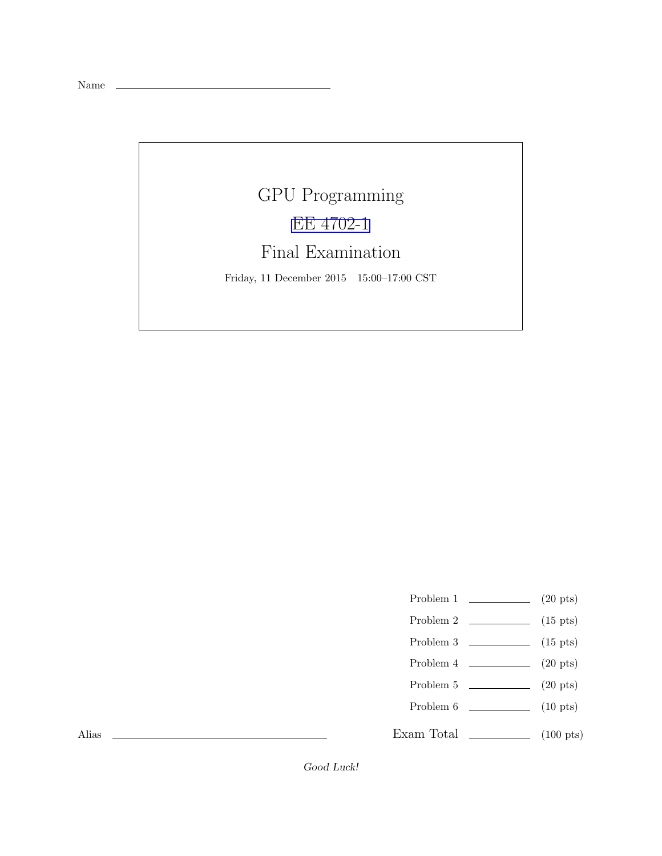Name

## GPU Programming [EE 4702-1](http://www.ece.lsu.edu/koppel/gpup/) Final Examination

Friday, 11 December 2015 15:00–17:00 CST

- Problem 1  $\qquad \qquad$  (20 pts)
- Problem 2  $\qquad \qquad$  (15 pts)
- Problem 3  $\qquad \qquad$  (15 pts)
- Problem 4  $\qquad \qquad (20 \text{ pts})$
- Problem 5  $\qquad \qquad$  (20 pts)
- Problem 6 (10 pts)
- Exam Total  $\qquad \qquad$  (100 pts)

Alias

Good Luck!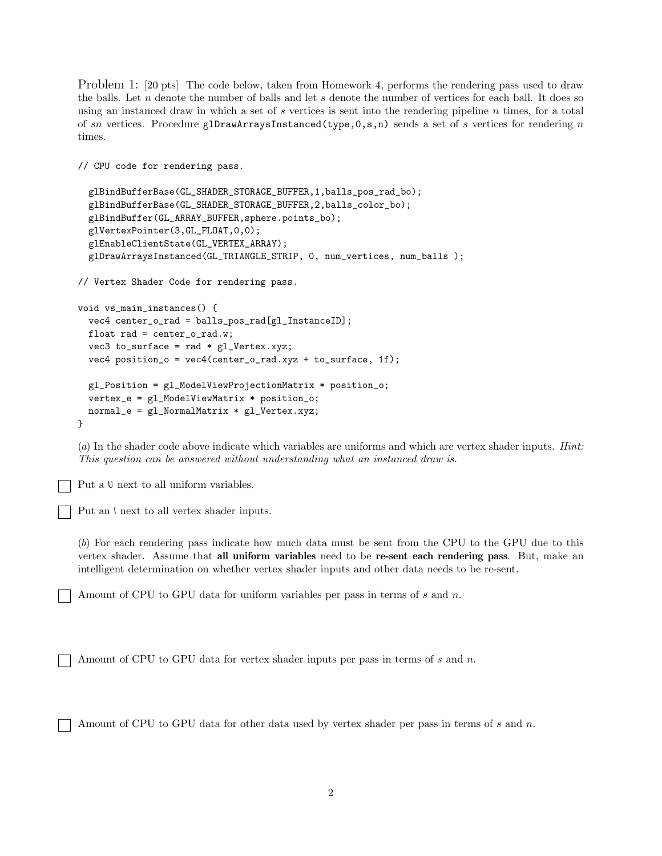Problem 1: [20 pts] The code below, taken from Homework 4, performs the rendering pass used to draw the balls. Let  $n$  denote the number of balls and let  $s$  denote the number of vertices for each ball. It does so using an instanced draw in which a set of s vertices is sent into the rendering pipeline  $n$  times, for a total of sn vertices. Procedure glDrawArraysInstanced(type,  $0, s, n$ ) sends a set of s vertices for rendering n times.

```
// CPU code for rendering pass.
  glBindBufferBase(GL_SHADER_STORAGE_BUFFER,1,balls_pos_rad_bo);
  glBindBufferBase(GL_SHADER_STORAGE_BUFFER,2,balls_color_bo);
  glBindBuffer(GL_ARRAY_BUFFER,sphere.points_bo);
  glVertexPointer(3,GL_FLOAT,0,0);
  glEnableClientState(GL_VERTEX_ARRAY);
  glDrawArraysInstanced(GL_TRIANGLE_STRIP, 0, num_vertices, num_balls );
// Vertex Shader Code for rendering pass.
void vs_main_instances() {
  vec4 center_o_rad = balls_pos_rad[gl_InstanceID];
  float rad = center_0\_rad.w;vec3 to_surface = rad * gl\_Vertex.xyz;
  vec4 position_o = vec4(center_o_rad.xyz + to_surface, 1f);
  gl_Position = gl_ModelViewProjectionMatrix * position_o;
  vertex_e = gl_ModelViewMatrix * position_o;
  normal_e = gl_NormalMatrix * gl_Vertex.xyz;
}
```
(*a*) In the shader code above indicate which variables are uniforms and which are vertex shader inputs. *Hint: This question can be answered without understanding what an instanced draw is.*

Put a U next to all uniform variables.

Put an I next to all vertex shader inputs.

(*b*) For each rendering pass indicate how much data must be sent from the CPU to the GPU due to this vertex shader. Assume that all uniform variables need to be re-sent each rendering pass. But, make an intelligent determination on whether vertex shader inputs and other data needs to be re-sent.

Amount of CPU to GPU data for uniform variables per pass in terms of  $s$  and  $n$ .

Amount of CPU to GPU data for vertex shader inputs per pass in terms of  $s$  and  $n$ .

Amount of CPU to GPU data for other data used by vertex shader per pass in terms of s and n.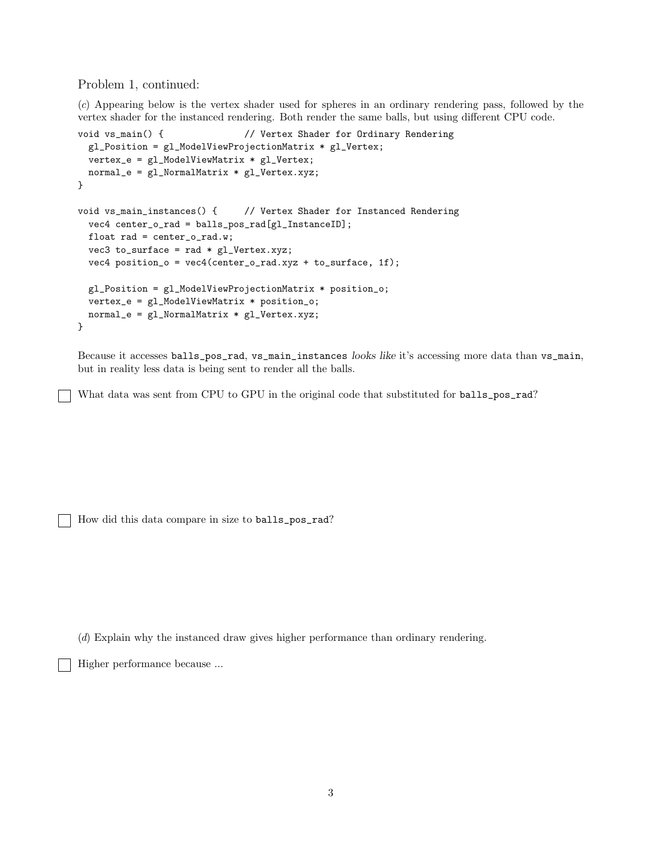Problem 1, continued:

(*c*) Appearing below is the vertex shader used for spheres in an ordinary rendering pass, followed by the vertex shader for the instanced rendering. Both render the same balls, but using different CPU code.

```
void vs_main() { // Vertex Shader for Ordinary Rendering
 gl_Position = gl_ModelViewProjectionMatrix * gl_Vertex;
 vertex_e = gl_ModelViewMatrix * gl_Vertex;
 normal_e = gl_NormalMatrix * gl_Vertex.xyz;
}
void vs_main_instances() { // Vertex Shader for Instanced Rendering
 vec4 center_o_rad = balls_pos_rad[gl_InstanceID];
 float rad = center_o_rad.w;
 vec3 to_surface = rad * gl_Vertex.xyz;
 vec4 position_o = vec4(center_o_rad.xyz + to_surface, 1f);
 gl_Position = gl_ModelViewProjectionMatrix * position_o;
 vertex_e = gl_ModelViewMatrix * position_o;
 normal_e = gl_NormalMatrix * gl_Vertex.xyz;
}
```
Because it accesses balls\_pos\_rad, vs\_main\_instances looks like it's accessing more data than vs\_main, but in reality less data is being sent to render all the balls.

What data was sent from CPU to GPU in the original code that substituted for balls\_pos\_rad?

How did this data compare in size to balls\_pos\_rad?

(*d*) Explain why the instanced draw gives higher performance than ordinary rendering.

Higher performance because ...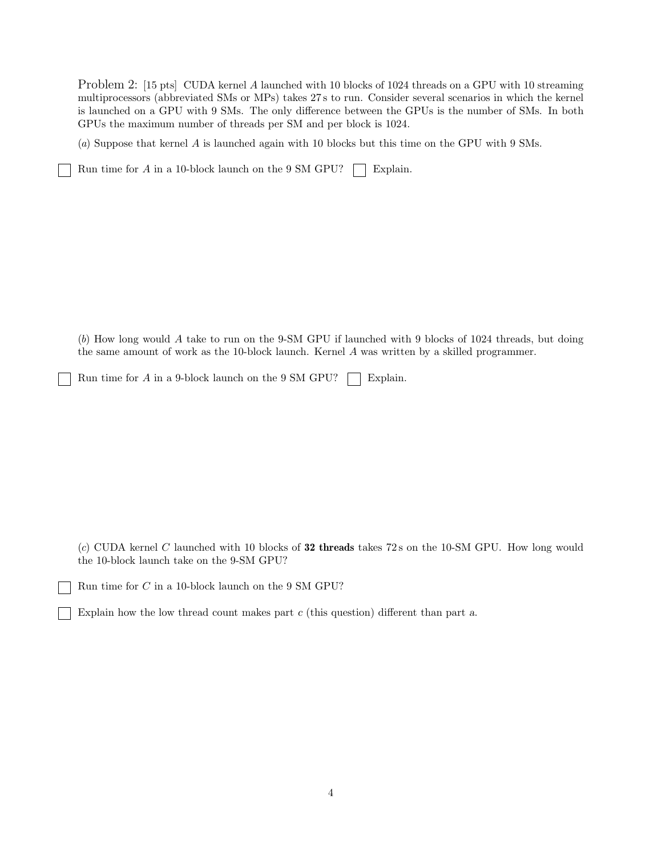Problem 2: [15 pts] CUDA kernel A launched with 10 blocks of 1024 threads on a GPU with 10 streaming multiprocessors (abbreviated SMs or MPs) takes 27 s to run. Consider several scenarios in which the kernel is launched on a GPU with 9 SMs. The only difference between the GPUs is the number of SMs. In both GPUs the maximum number of threads per SM and per block is 1024.

(*a*) Suppose that kernel A is launched again with 10 blocks but this time on the GPU with 9 SMs.

Run time for A in a 10-block launch on the 9 SM GPU?  $\Box$  Explain.

(*b*) How long would A take to run on the 9-SM GPU if launched with 9 blocks of 1024 threads, but doing the same amount of work as the 10-block launch. Kernel A was written by a skilled programmer.

Run time for  $A$  in a 9-block launch on the 9 SM GPU?  $\Box$  Explain.

(*c*) CUDA kernel C launched with 10 blocks of 32 threads takes 72 s on the 10-SM GPU. How long would the 10-block launch take on the 9-SM GPU?

Run time for C in a 10-block launch on the 9 SM GPU?

Explain how the low thread count makes part c (this question) different than part a.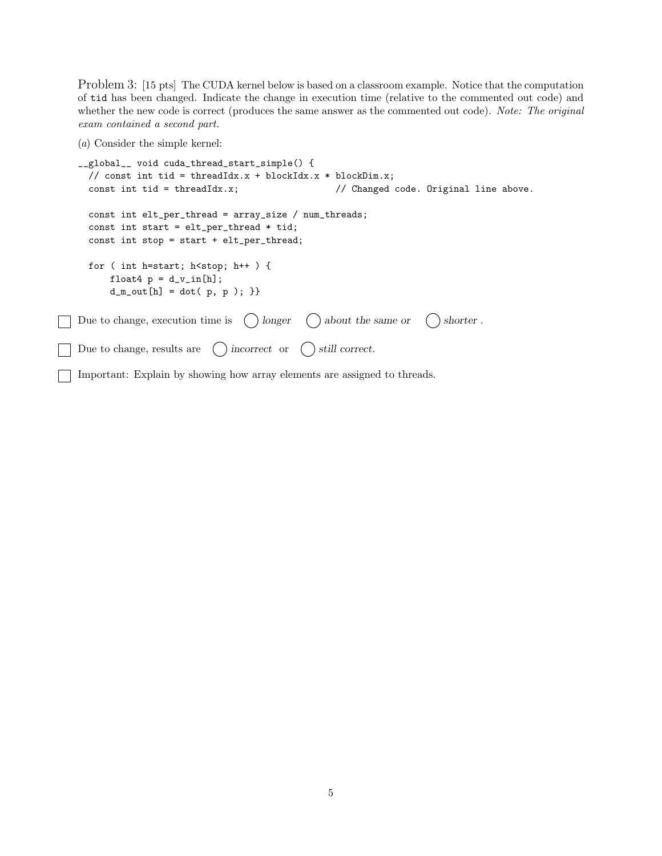Problem 3: [15 pts] The CUDA kernel below is based on a classroom example. Notice that the computation of tid has been changed. Indicate the change in execution time (relative to the commented out code) and whether the new code is correct (produces the same answer as the commented out code). *Note: The original exam contained a second part.*

(*a*) Consider the simple kernel:

```
__global__ void cuda_thread_start_simple() {
  // const int tid = threadIdx.x + blockIdx.x * blockDim.x;
  const int tid = threadIdx.x; \frac{1}{2} // Changed code. Original line above.
  const int elt_per_thread = array_size / num_threads;
  const int start = elt_per_thread * tid;
  const int stop = start + elt_per_thread;
  for ( int h=start; h<stop; h++ ) {
      float4 p = d_v_in[h];d_m_{out}[h] = dot(p, p);Due to change, execution time is \binom{ }{ } longer \binom{ }{ } about the same or \binom{ }{ } shorter.
Due to change, results are \bigcirc incorrect or \bigcirc still correct.
```
Important: Explain by showing how array elements are assigned to threads.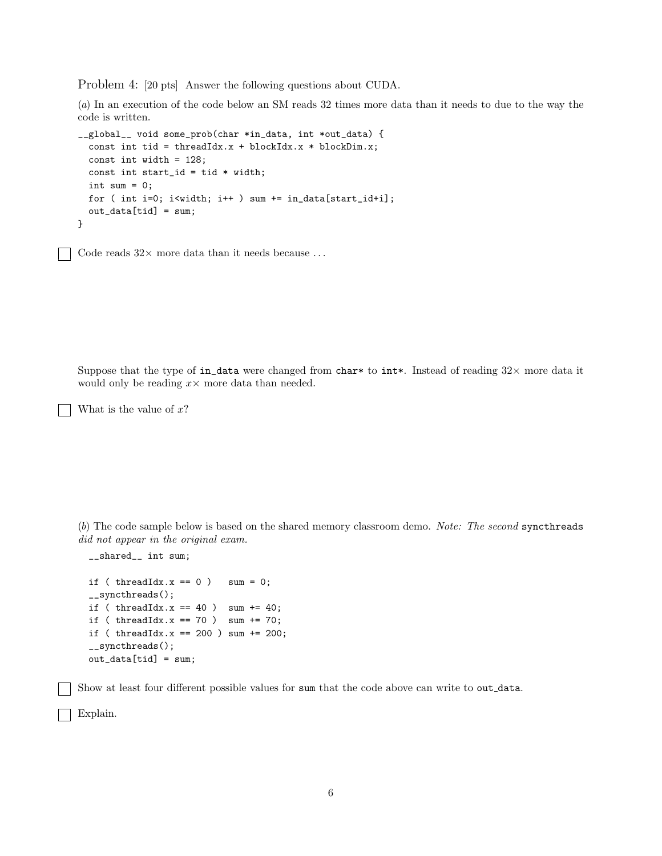Problem 4: [20 pts] Answer the following questions about CUDA.

(*a*) In an execution of the code below an SM reads 32 times more data than it needs to due to the way the code is written.

```
__global__ void some_prob(char *in_data, int *out_data) {
 const int tid = threadIdx.x + blockIdx.x * blockDim.x;
 const int width = 128;
 const int start_id = tid * width;
 int sum = 0;
 for ( int i=0; i<width; i++ ) sum += in_data[start_id+i];
 out_data[tid] = sum;}
```
Code reads  $32 \times$  more data than it needs because ...

Suppose that the type of in\_data were changed from char\* to int\*. Instead of reading  $32\times$  more data it would only be reading  $x \times$  more data than needed.

What is the value of  $x$ ?

(*b*) The code sample below is based on the shared memory classroom demo. *Note: The second* syncthreads *did not appear in the original exam.*

```
__shared__ int sum;
if ( threadIdx.x == 0 ) sum = 0;
__syncthreads();
if ( threadIdx.x == 40 ) sum += 40;
if ( threadIdx.x == 70 ) sum += 70;
if ( threadIdx.x == 200 ) sum += 200;
__syncthreads();
out_data[tid] = sum;
```
Show at least four different possible values for sum that the code above can write to out data.

Explain.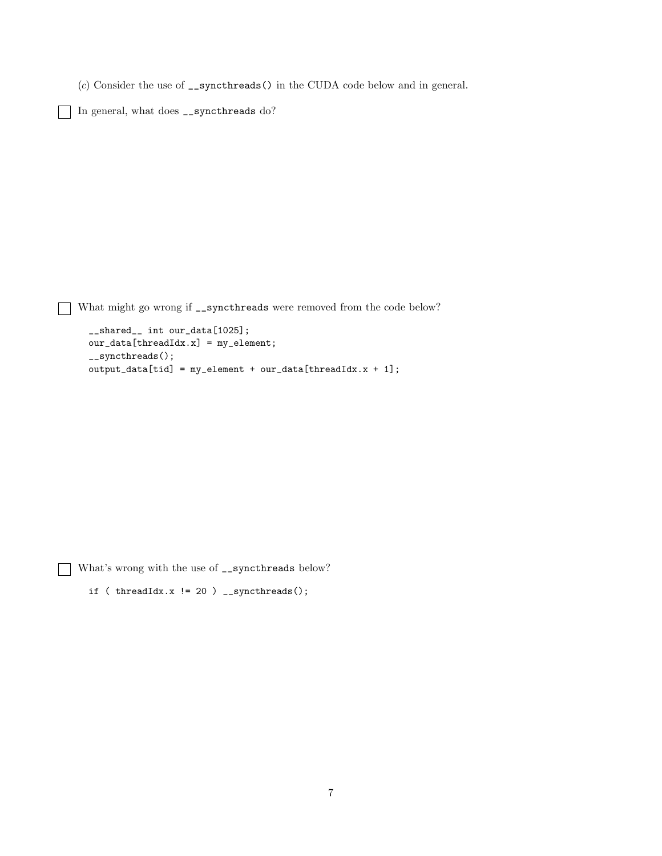(*c*) Consider the use of \_\_syncthreads() in the CUDA code below and in general.

In general, what does \_\_syncthreads do?

What might go wrong if  $\text{\_symbol{x}}$  = syncthreads were removed from the code below?

```
__shared__ int our_data[1025];
our_data[threadIdx.x] = my_element;
__syncthreads();
output_data[tid] = my_element + our_data[threadIdx.x + 1];
```
What's wrong with the use of  $\text{\_symbol=}\xspace$  syncthreads below?

```
if ( threadIdx.x != 20 ) __syncthreads();
```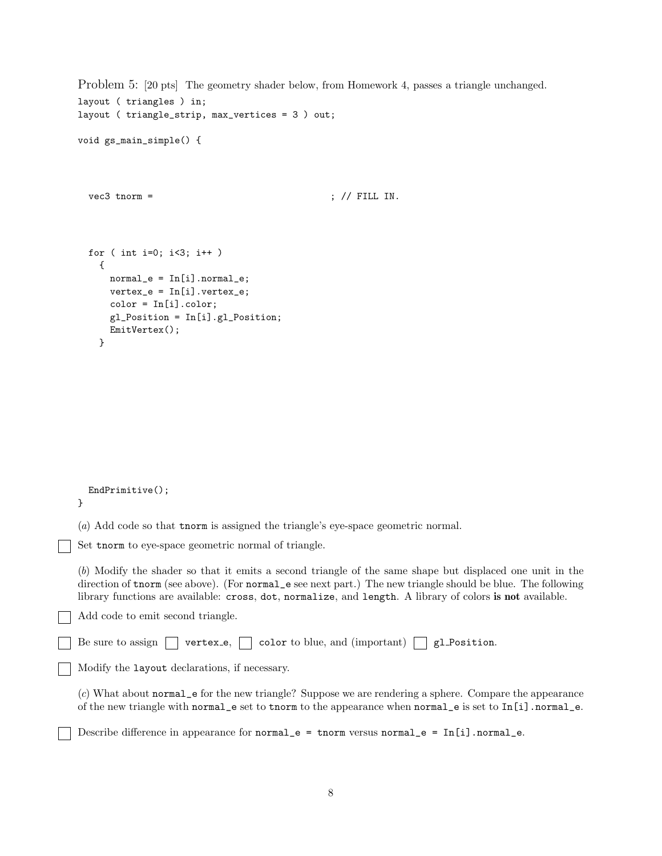```
layout ( triangles ) in;
  layout ( triangle_strip, max_vertices = 3 ) out;
  void gs_main_simple() {
    vec3 tnorm = \qquad ; \qquad ; \qquad FILL IN.
    for ( int i=0; i<3; i++ )
      {
        normal_e = In[i].normal_e;vertex_e = In[i].vertex_e;color = In[i].color;
        gl_Position = In[i].gl_Position;
        EmitVertex();
      }
    EndPrimitive();
  }
  (a) Add code so that tnorm is assigned the triangle's eye-space geometric normal.
Set tnorm to eye-space geometric normal of triangle.
  (b) Modify the shader so that it emits a second triangle of the same shape but displaced one unit in the
  direction of tnorm (see above). (For normal_e see next part.) The new triangle should be blue. The following
  library functions are available: cross, dot, normalize, and length. A library of colors is not available.
  Add code to emit second triangle.
  Be sure to assign \Box vertex e, \Box color to blue, and (important) \Box gl Position.
 Modify the layout declarations, if necessary.
  (c) What about normal_e for the new triangle? Suppose we are rendering a sphere. Compare the appearance
  of the new triangle with normal_e set to tnorm to the appearance when normal_e is set to In[i].normal_e.
  Describe difference in appearance for normal_e = tnorm versus normal_e = In[i].normal_e.
```
Problem 5: [20 pts] The geometry shader below, from Homework 4, passes a triangle unchanged.